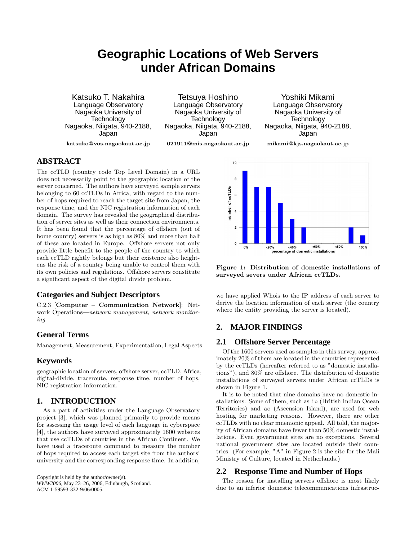# **Geographic Locations of Web Servers under African Domains**

Katsuko T. Nakahira Language Observatory Nagaoka University of **Technology** Nagaoka, Niigata, 940-2188, Japan

Tetsuya Hoshino Language Observatory Nagaoka University of **Technology** Nagaoka, Niigata, 940-2188, Japan

**021911@mis.nagaokaut.ac.jp**

Yoshiki Mikami Language Observatory Nagaoka University of **Technology** Nagaoka, Niigata, 940-2188, Japan

**katsuko@vos.nagaokaut.ac.jp**

**mikami@kjs.nagaokaut.ac.jp**

## **ABSTRACT**

The ccTLD (country code Top Level Domain) in a URL does not necessarily point to the geographic location of the server concerned. The authors have surveyed sample servers belonging to 60 ccTLDs in Africa, with regard to the number of hops required to reach the target site from Japan, the response time, and the NIC registration information of each domain. The survey has revealed the geographical distribution of server sites as well as their connection environments. It has been found that the percentage of offshore (out of home country) servers is as high as  $80\%$  and more than half of these are located in Europe. Offshore servers not only provide little benefit to the people of the country to which each ccTLD rightly belongs but their existence also heightens the risk of a country being unable to control them with its own policies and regulations. Offshore servers constitute a significant aspect of the digital divide problem.

## **Categories and Subject Descriptors**

C.2.3 [**Computer – Communication Network**]: Network Operations—*network management, network monitoring*

## **General Terms**

Management, Measurement, Experimentation, Legal Aspects

## **Keywords**

geographic location of servers, offshore server, ccTLD, Africa, digital-divide, traceroute, response time, number of hops, NIC registration information.

## **1. INTRODUCTION**

As a part of activities under the Language Observatory project [3], which was planned primarily to provide means for assessing the usage level of each language in cyberspace [4], the authors have surveyed approximately 1600 websites that use ccTLDs of countries in the African Continent. We have used a traceroute command to measure the number of hops required to access each target site from the authors' university and the corresponding response time. In addition,

Copyright is held by the author/owner(s). *WWW2006,* May 23–26, 2006, Edinburgh, Scotland. ACM 1-59593-332-9/06/0005.



**Figure 1: Distribution of domestic installations of surveyed severs under African ccTLDs.**

we have applied Whois to the IP address of each server to derive the location information of each server (the country where the entity providing the server is located).

## **2. MAJOR FINDINGS**

## **2.1 Offshore Server Percentage**

Of the 1600 servers used as samples in this survey, approximately 20% of them are located in the countries represented by the ccTLDs (hereafter referred to as "domestic installations"), and 80% are offshore. The distribution of domestic installations of surveyed servers under African ccTLDs is shown in Figure 1.

It is to be noted that nine domains have no domestic installations. Some of them, such as io (British Indian Ocean Territories) and ac (Ascension Island), are used for web hosting for marketing reasons. However, there are other ccTLDs with no clear mnemonic appeal. All told, the majority of African domains have fewer than 50% domestic installations. Even government sites are no exceptions. Several national government sites are located outside their countries. (For example, "A" in Figure 2 is the site for the Mali Ministry of Culture, located in Netherlands.)

## **2.2 Response Time and Number of Hops**

The reason for installing servers offshore is most likely due to an inferior domestic telecommunications infrastruc-